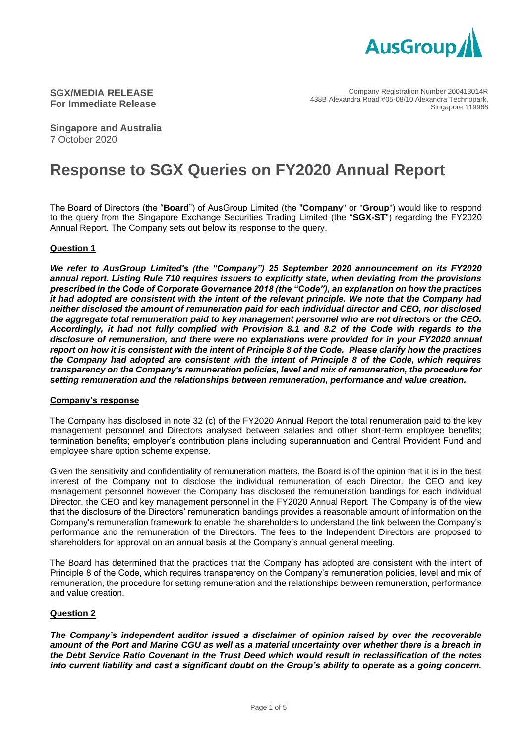

Company Registration Number 200413014R 438B Alexandra Road #05-08/10 Alexandra Technopark, Singapore 119968

**Singapore and Australia** 7 October 2020

# **Response to SGX Queries on FY2020 Annual Report**

The Board of Directors (the "**Board**") of AusGroup Limited (the "**Company**" or "**Group**") would like to respond to the query from the Singapore Exchange Securities Trading Limited (the "**SGX-ST**") regarding the FY2020 Annual Report. The Company sets out below its response to the query.

#### **Question 1**

*We refer to AusGroup Limited's (the "Company") 25 September 2020 announcement on its FY2020 annual report. Listing Rule 710 requires issuers to explicitly state, when deviating from the provisions prescribed in the Code of Corporate Governance 2018 (the "Code"), an explanation on how the practices it had adopted are consistent with the intent of the relevant principle. We note that the Company had neither disclosed the amount of remuneration paid for each individual director and CEO, nor disclosed the aggregate total remuneration paid to key management personnel who are not directors or the CEO. Accordingly, it had not fully complied with Provision 8.1 and 8.2 of the Code with regards to the disclosure of remuneration, and there were no explanations were provided for in your FY2020 annual report on how it is consistent with the intent of Principle 8 of the Code. Please clarify how the practices the Company had adopted are consistent with the intent of Principle 8 of the Code, which requires transparency on the Company's remuneration policies, level and mix of remuneration, the procedure for setting remuneration and the relationships between remuneration, performance and value creation.*

#### **Company's response**

The Company has disclosed in note 32 (c) of the FY2020 Annual Report the total renumeration paid to the key management personnel and Directors analysed between salaries and other short-term employee benefits; termination benefits; employer's contribution plans including superannuation and Central Provident Fund and employee share option scheme expense.

Given the sensitivity and confidentiality of remuneration matters, the Board is of the opinion that it is in the best interest of the Company not to disclose the individual remuneration of each Director, the CEO and key management personnel however the Company has disclosed the remuneration bandings for each individual Director, the CEO and key management personnel in the FY2020 Annual Report. The Company is of the view that the disclosure of the Directors' remuneration bandings provides a reasonable amount of information on the Company's remuneration framework to enable the shareholders to understand the link between the Company's performance and the remuneration of the Directors. The fees to the Independent Directors are proposed to shareholders for approval on an annual basis at the Company's annual general meeting.

The Board has determined that the practices that the Company has adopted are consistent with the intent of Principle 8 of the Code, which requires transparency on the Company's remuneration policies, level and mix of remuneration, the procedure for setting remuneration and the relationships between remuneration, performance and value creation.

#### **Question 2**

*The Company's independent auditor issued a disclaimer of opinion raised by over the recoverable amount of the Port and Marine CGU as well as a material uncertainty over whether there is a breach in the Debt Service Ratio Covenant in the Trust Deed which would result in reclassification of the notes into current liability and cast a significant doubt on the Group's ability to operate as a going concern.*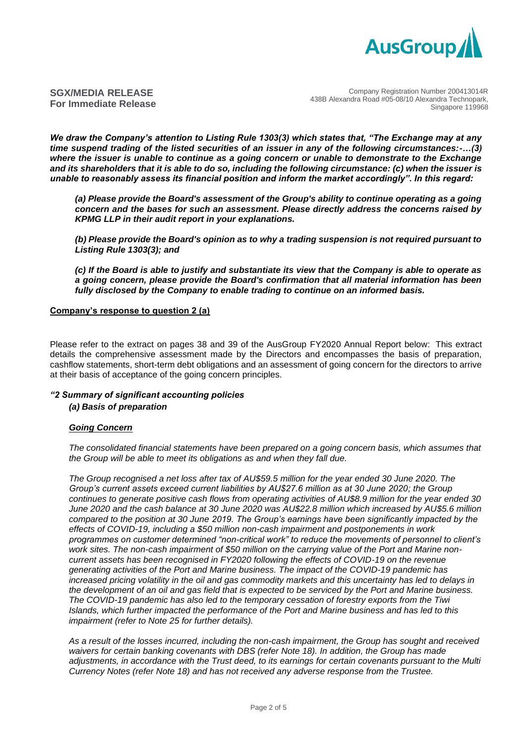

*We draw the Company's attention to Listing Rule 1303(3) which states that, "The Exchange may at any time suspend trading of the listed securities of an issuer in any of the following circumstances:-…(3) where the issuer is unable to continue as a going concern or unable to demonstrate to the Exchange and its shareholders that it is able to do so, including the following circumstance: (c) when the issuer is unable to reasonably assess its financial position and inform the market accordingly". In this regard:*

*(a) Please provide the Board's assessment of the Group's ability to continue operating as a going concern and the bases for such an assessment. Please directly address the concerns raised by KPMG LLP in their audit report in your explanations.*

*(b) Please provide the Board's opinion as to why a trading suspension is not required pursuant to Listing Rule 1303(3); and*

*(c) If the Board is able to justify and substantiate its view that the Company is able to operate as a going concern, please provide the Board's confirmation that all material information has been fully disclosed by the Company to enable trading to continue on an informed basis.*

#### **Company's response to question 2 (a)**

Please refer to the extract on pages 38 and 39 of the AusGroup FY2020 Annual Report below: This extract details the comprehensive assessment made by the Directors and encompasses the basis of preparation, cashflow statements, short-term debt obligations and an assessment of going concern for the directors to arrive at their basis of acceptance of the going concern principles.

# *"2 Summary of significant accounting policies*

*(a) Basis of preparation*

### *Going Concern*

*The consolidated financial statements have been prepared on a going concern basis, which assumes that the Group will be able to meet its obligations as and when they fall due.*

*The Group recognised a net loss after tax of AU\$59.5 million for the year ended 30 June 2020. The Group's current assets exceed current liabilities by AU\$27.6 million as at 30 June 2020; the Group continues to generate positive cash flows from operating activities of AU\$8.9 million for the year ended 30 June 2020 and the cash balance at 30 June 2020 was AU\$22.8 million which increased by AU\$5.6 million compared to the position at 30 June 2019. The Group's earnings have been significantly impacted by the effects of COVID-19, including a \$50 million non-cash impairment and postponements in work programmes on customer determined "non-critical work" to reduce the movements of personnel to client's work sites. The non-cash impairment of \$50 million on the carrying value of the Port and Marine noncurrent assets has been recognised in FY2020 following the effects of COVID-19 on the revenue generating activities of the Port and Marine business. The impact of the COVID-19 pandemic has increased pricing volatility in the oil and gas commodity markets and this uncertainty has led to delays in the development of an oil and gas field that is expected to be serviced by the Port and Marine business. The COVID-19 pandemic has also led to the temporary cessation of forestry exports from the Tiwi Islands, which further impacted the performance of the Port and Marine business and has led to this impairment (refer to Note 25 for further details).*

*As a result of the losses incurred, including the non-cash impairment, the Group has sought and received waivers for certain banking covenants with DBS (refer Note 18). In addition, the Group has made adjustments, in accordance with the Trust deed, to its earnings for certain covenants pursuant to the Multi Currency Notes (refer Note 18) and has not received any adverse response from the Trustee.*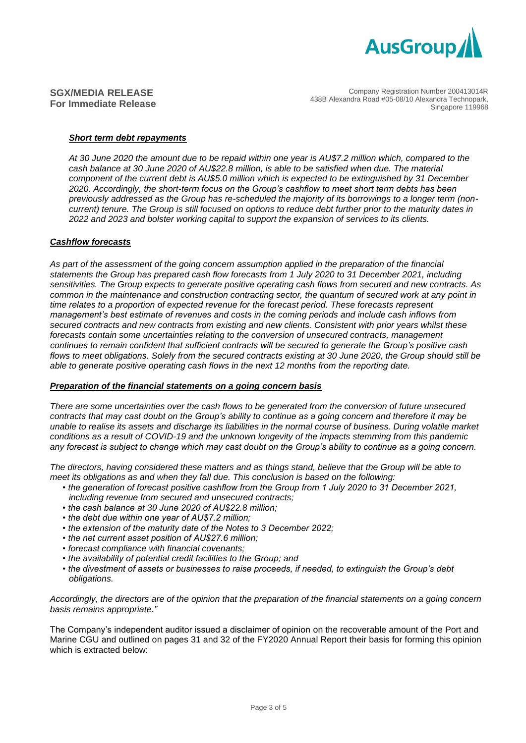

Company Registration Number 200413014R 438B Alexandra Road #05-08/10 Alexandra Technopark, Singapore 119968

#### *Short term debt repayments*

*At 30 June 2020 the amount due to be repaid within one year is AU\$7.2 million which, compared to the cash balance at 30 June 2020 of AU\$22.8 million, is able to be satisfied when due. The material component of the current debt is AU\$5.0 million which is expected to be extinguished by 31 December 2020. Accordingly, the short-term focus on the Group's cashflow to meet short term debts has been previously addressed as the Group has re-scheduled the majority of its borrowings to a longer term (noncurrent) tenure. The Group is still focused on options to reduce debt further prior to the maturity dates in 2022 and 2023 and bolster working capital to support the expansion of services to its clients.*

#### *Cashflow forecasts*

*As part of the assessment of the going concern assumption applied in the preparation of the financial statements the Group has prepared cash flow forecasts from 1 July 2020 to 31 December 2021, including sensitivities. The Group expects to generate positive operating cash flows from secured and new contracts. As common in the maintenance and construction contracting sector, the quantum of secured work at any point in time relates to a proportion of expected revenue for the forecast period. These forecasts represent management's best estimate of revenues and costs in the coming periods and include cash inflows from secured contracts and new contracts from existing and new clients. Consistent with prior years whilst these forecasts contain some uncertainties relating to the conversion of unsecured contracts, management continues to remain confident that sufficient contracts will be secured to generate the Group's positive cash flows to meet obligations. Solely from the secured contracts existing at 30 June 2020, the Group should still be able to generate positive operating cash flows in the next 12 months from the reporting date.*

#### *Preparation of the financial statements on a going concern basis*

*There are some uncertainties over the cash flows to be generated from the conversion of future unsecured contracts that may cast doubt on the Group's ability to continue as a going concern and therefore it may be unable to realise its assets and discharge its liabilities in the normal course of business. During volatile market conditions as a result of COVID-19 and the unknown longevity of the impacts stemming from this pandemic any forecast is subject to change which may cast doubt on the Group's ability to continue as a going concern.*

*The directors, having considered these matters and as things stand, believe that the Group will be able to meet its obligations as and when they fall due. This conclusion is based on the following:*

- *the generation of forecast positive cashflow from the Group from 1 July 2020 to 31 December 2021, including revenue from secured and unsecured contracts;*
- *the cash balance at 30 June 2020 of AU\$22.8 million;*
- *the debt due within one year of AU\$7.2 million;*
- *the extension of the maturity date of the Notes to 3 December 2022;*
- *the net current asset position of AU\$27.6 million;*
- *forecast compliance with financial covenants;*
- *the availability of potential credit facilities to the Group; and*
- *the divestment of assets or businesses to raise proceeds, if needed, to extinguish the Group's debt obligations.*

*Accordingly, the directors are of the opinion that the preparation of the financial statements on a going concern basis remains appropriate."*

The Company's independent auditor issued a disclaimer of opinion on the recoverable amount of the Port and Marine CGU and outlined on pages 31 and 32 of the FY2020 Annual Report their basis for forming this opinion which is extracted below: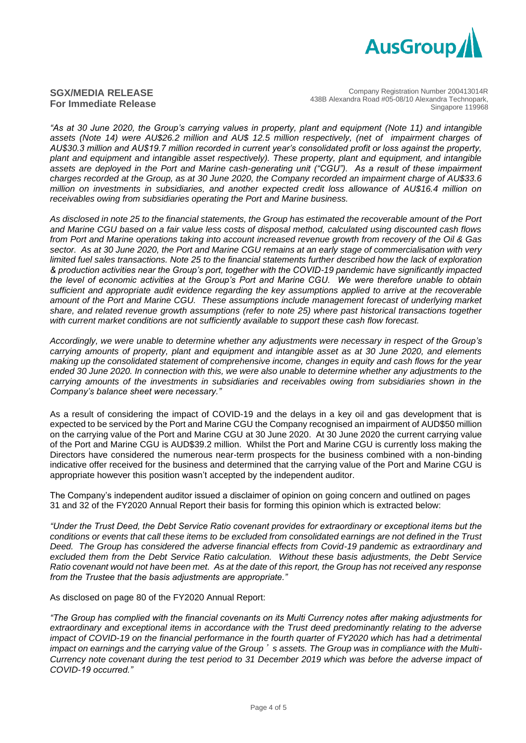

Company Registration Number 200413014R 438B Alexandra Road #05-08/10 Alexandra Technopark, Singapore 119968

*"As at 30 June 2020, the Group's carrying values in property, plant and equipment (Note 11) and intangible assets (Note 14) were AU\$26.2 million and AU\$ 12.5 million respectively, (net of impairment charges of AU\$30.3 million and AU\$19.7 million recorded in current year's consolidated profit or loss against the property, plant and equipment and intangible asset respectively). These property, plant and equipment, and intangible*  assets are deployed in the Port and Marine cash-generating unit ("CGU"). As a result of these impairment *charges recorded at the Group, as at 30 June 2020, the Company recorded an impairment charge of AU\$33.6 million on investments in subsidiaries, and another expected credit loss allowance of AU\$16.4 million on receivables owing from subsidiaries operating the Port and Marine business.* 

*As disclosed in note 25 to the financial statements, the Group has estimated the recoverable amount of the Port and Marine CGU based on a fair value less costs of disposal method, calculated using discounted cash flows from Port and Marine operations taking into account increased revenue growth from recovery of the Oil & Gas sector. As at 30 June 2020, the Port and Marine CGU remains at an early stage of commercialisation with very limited fuel sales transactions. Note 25 to the financial statements further described how the lack of exploration & production activities near the Group's port, together with the COVID-19 pandemic have significantly impacted the level of economic activities at the Group's Port and Marine CGU. We were therefore unable to obtain sufficient and appropriate audit evidence regarding the key assumptions applied to arrive at the recoverable amount of the Port and Marine CGU. These assumptions include management forecast of underlying market share, and related revenue growth assumptions (refer to note 25) where past historical transactions together with current market conditions are not sufficiently available to support these cash flow forecast.*

*Accordingly, we were unable to determine whether any adjustments were necessary in respect of the Group's carrying amounts of property, plant and equipment and intangible asset as at 30 June 2020, and elements making up the consolidated statement of comprehensive income, changes in equity and cash flows for the year ended 30 June 2020. In connection with this, we were also unable to determine whether any adjustments to the carrying amounts of the investments in subsidiaries and receivables owing from subsidiaries shown in the Company's balance sheet were necessary."*

As a result of considering the impact of COVID-19 and the delays in a key oil and gas development that is expected to be serviced by the Port and Marine CGU the Company recognised an impairment of AUD\$50 million on the carrying value of the Port and Marine CGU at 30 June 2020. At 30 June 2020 the current carrying value of the Port and Marine CGU is AUD\$39.2 million. Whilst the Port and Marine CGU is currently loss making the Directors have considered the numerous near-term prospects for the business combined with a non-binding indicative offer received for the business and determined that the carrying value of the Port and Marine CGU is appropriate however this position wasn't accepted by the independent auditor.

The Company's independent auditor issued a disclaimer of opinion on going concern and outlined on pages 31 and 32 of the FY2020 Annual Report their basis for forming this opinion which is extracted below:

*"Under the Trust Deed, the Debt Service Ratio covenant provides for extraordinary or exceptional items but the conditions or events that call these items to be excluded from consolidated earnings are not defined in the Trust Deed. The Group has considered the adverse financial effects from Covid-19 pandemic as extraordinary and excluded them from the Debt Service Ratio calculation. Without these basis adjustments, the Debt Service Ratio covenant would not have been met. As at the date of this report, the Group has not received any response from the Trustee that the basis adjustments are appropriate."*

As disclosed on page 80 of the FY2020 Annual Report:

*"The Group has complied with the financial covenants on its Multi Currency notes after making adjustments for extraordinary and exceptional items in accordance with the Trust deed predominantly relating to the adverse impact of COVID-19 on the financial performance in the fourth quarter of FY2020 which has had a detrimental impact on earnings and the carrying value of the Group*'*s assets. The Group was in compliance with the Multi-Currency note covenant during the test period to 31 December 2019 which was before the adverse impact of COVID-19 occurred."*